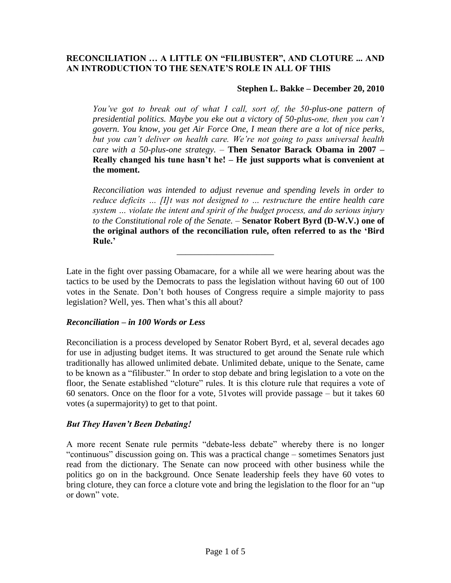## **RECONCILIATION … A LITTLE ON "FILIBUSTER", AND CLOTURE ... AND AN INTRODUCTION TO THE SENATE"S ROLE IN ALL OF THIS**

## **Stephen L. Bakke – December 20, 2010**

*You've got to break out of what I call, sort of, the 50-plus-one pattern of presidential politics. Maybe you eke out a victory of 50-plus-one, then you can't govern. You know, you get Air Force One, I mean there are a lot of nice perks, but you can't deliver on health care. We're not going to pass universal health care with a 50-plus-one strategy.* – **Then Senator Barack Obama in 2007 – Really changed his tune hasn"t he! – He just supports what is convenient at the moment.**

*Reconciliation was intended to adjust revenue and spending levels in order to reduce deficits … [I]t was not designed to … restructure the entire health care system … violate the intent and spirit of the budget process, and do serious injury to the Constitutional role of the Senate.* – **Senator Robert Byrd (D-W.V.) one of the original authors of the reconciliation rule, often referred to as the "Bird Rule."**

Late in the fight over passing Obamacare, for a while all we were hearing about was the tactics to be used by the Democrats to pass the legislation without having 60 out of 100 votes in the Senate. Don't both houses of Congress require a simple majority to pass legislation? Well, yes. Then what's this all about?

\_\_\_\_\_\_\_\_\_\_\_\_\_\_\_\_\_\_\_\_\_\_

## *Reconciliation – in 100 Words or Less*

Reconciliation is a process developed by Senator Robert Byrd, et al, several decades ago for use in adjusting budget items. It was structured to get around the Senate rule which traditionally has allowed unlimited debate. Unlimited debate, unique to the Senate, came to be known as a "filibuster." In order to stop debate and bring legislation to a vote on the floor, the Senate established "cloture" rules. It is this cloture rule that requires a vote of 60 senators. Once on the floor for a vote, 51votes will provide passage – but it takes 60 votes (a supermajority) to get to that point.

## *But They Haven't Been Debating!*

A more recent Senate rule permits "debate-less debate" whereby there is no longer "continuous" discussion going on. This was a practical change – sometimes Senators just read from the dictionary. The Senate can now proceed with other business while the politics go on in the background. Once Senate leadership feels they have 60 votes to bring cloture, they can force a cloture vote and bring the legislation to the floor for an "up or down" vote.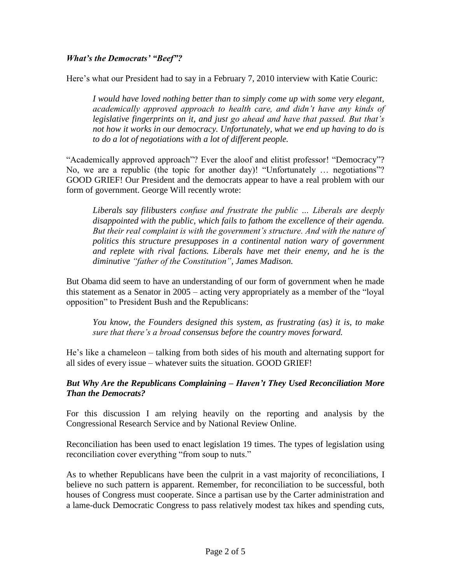#### *What's the Democrats' "Beef"?*

Here's what our President had to say in a February 7, 2010 interview with Katie Couric:

*I would have loved nothing better than to simply come up with some very elegant, academically approved approach to health care, and didn't have any kinds of legislative fingerprints on it, and just go ahead and have that passed. But that's not how it works in our democracy. Unfortunately, what we end up having to do is to do a lot of negotiations with a lot of different people.*

"Academically approved approach"? Ever the aloof and elitist professor! "Democracy"? No, we are a republic (the topic for another day)! "Unfortunately … negotiations"? GOOD GRIEF! Our President and the democrats appear to have a real problem with our form of government. George Will recently wrote:

*Liberals say filibusters confuse and frustrate the public … Liberals are deeply disappointed with the public, which fails to fathom the excellence of their agenda. But their real complaint is with the government's structure. And with the nature of politics this structure presupposes in a continental nation wary of government*  and replete with rival factions. Liberals have met their enemy, and he is the *diminutive "father of the Constitution", James Madison.*

But Obama did seem to have an understanding of our form of government when he made this statement as a Senator in 2005 – acting very appropriately as a member of the "loyal opposition" to President Bush and the Republicans:

*You know, the Founders designed this system, as frustrating (as) it is, to make sure that there's a broad consensus before the country moves forward.*

He's like a chameleon – talking from both sides of his mouth and alternating support for all sides of every issue – whatever suits the situation. GOOD GRIEF!

#### *But Why Are the Republicans Complaining – Haven't They Used Reconciliation More Than the Democrats?*

For this discussion I am relying heavily on the reporting and analysis by the Congressional Research Service and by National Review Online.

Reconciliation has been used to enact legislation 19 times. The types of legislation using reconciliation cover everything "from soup to nuts."

As to whether Republicans have been the culprit in a vast majority of reconciliations, I believe no such pattern is apparent. Remember, for reconciliation to be successful, both houses of Congress must cooperate. Since a partisan use by the Carter administration and a lame-duck Democratic Congress to pass relatively modest tax hikes and spending cuts,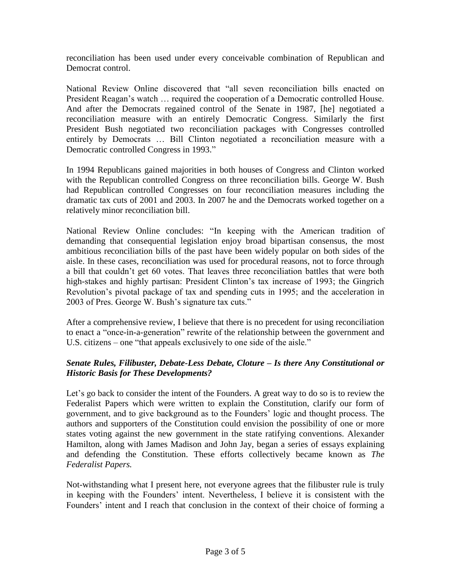reconciliation has been used under every conceivable combination of Republican and Democrat control.

National Review Online discovered that "all seven reconciliation bills enacted on President Reagan's watch … required the cooperation of a Democratic controlled House. And after the Democrats regained control of the Senate in 1987, [he] negotiated a reconciliation measure with an entirely Democratic Congress. Similarly the first President Bush negotiated two reconciliation packages with Congresses controlled entirely by Democrats … Bill Clinton negotiated a reconciliation measure with a Democratic controlled Congress in 1993."

In 1994 Republicans gained majorities in both houses of Congress and Clinton worked with the Republican controlled Congress on three reconciliation bills. George W. Bush had Republican controlled Congresses on four reconciliation measures including the dramatic tax cuts of 2001 and 2003. In 2007 he and the Democrats worked together on a relatively minor reconciliation bill.

National Review Online concludes: "In keeping with the American tradition of demanding that consequential legislation enjoy broad bipartisan consensus, the most ambitious reconciliation bills of the past have been widely popular on both sides of the aisle. In these cases, reconciliation was used for procedural reasons, not to force through a bill that couldn't get 60 votes. That leaves three reconciliation battles that were both high-stakes and highly partisan: President Clinton's tax increase of 1993; the Gingrich Revolution's pivotal package of tax and spending cuts in 1995; and the acceleration in 2003 of Pres. George W. Bush's signature tax cuts."

After a comprehensive review, I believe that there is no precedent for using reconciliation to enact a "once-in-a-generation" rewrite of the relationship between the government and U.S. citizens – one "that appeals exclusively to one side of the aisle."

# *Senate Rules, Filibuster, Debate-Less Debate, Cloture – Is there Any Constitutional or Historic Basis for These Developments?*

Let's go back to consider the intent of the Founders. A great way to do so is to review the Federalist Papers which were written to explain the Constitution, clarify our form of government, and to give background as to the Founders' logic and thought process. The authors and supporters of the Constitution could envision the possibility of one or more states voting against the new government in the state ratifying conventions. Alexander Hamilton, along with James Madison and John Jay, began a series of essays explaining and defending the Constitution. These efforts collectively became known as *The Federalist Papers.*

Not-withstanding what I present here, not everyone agrees that the filibuster rule is truly in keeping with the Founders' intent. Nevertheless, I believe it is consistent with the Founders' intent and I reach that conclusion in the context of their choice of forming a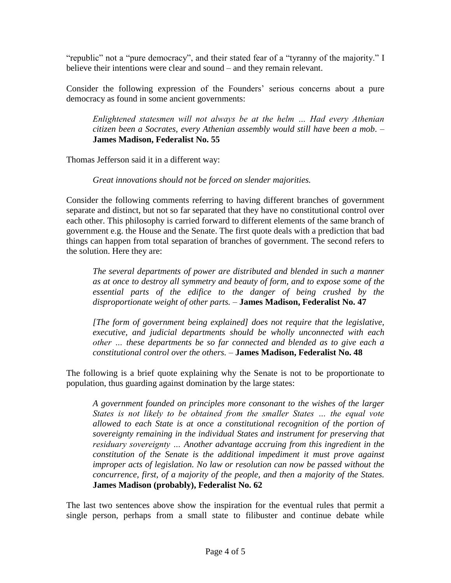"republic" not a "pure democracy", and their stated fear of a "tyranny of the majority." I believe their intentions were clear and sound – and they remain relevant.

Consider the following expression of the Founders' serious concerns about a pure democracy as found in some ancient governments:

*Enlightened statesmen will not always be at the helm … Had every Athenian citizen been a Socrates, every Athenian assembly would still have been a mob.* – **James Madison, Federalist No. 55**

Thomas Jefferson said it in a different way:

*Great innovations should not be forced on slender majorities.*

Consider the following comments referring to having different branches of government separate and distinct, but not so far separated that they have no constitutional control over each other. This philosophy is carried forward to different elements of the same branch of government e.g. the House and the Senate. The first quote deals with a prediction that bad things can happen from total separation of branches of government. The second refers to the solution. Here they are:

*The several departments of power are distributed and blended in such a manner as at once to destroy all symmetry and beauty of form, and to expose some of the essential parts of the edifice to the danger of being crushed by the disproportionate weight of other parts. –* **James Madison, Federalist No. 47**

*[The form of government being explained] does not require that the legislative, executive, and judicial departments should be wholly unconnected with each other … these departments be so far connected and blended as to give each a constitutional control over the others. –* **James Madison, Federalist No. 48**

The following is a brief quote explaining why the Senate is not to be proportionate to population, thus guarding against domination by the large states:

*A government founded on principles more consonant to the wishes of the larger States is not likely to be obtained from the smaller States … the equal vote allowed to each State is at once a constitutional recognition of the portion of sovereignty remaining in the individual States and instrument for preserving that residuary sovereignty … Another advantage accruing from this ingredient in the constitution of the Senate is the additional impediment it must prove against improper acts of legislation. No law or resolution can now be passed without the concurrence, first, of a majority of the people, and then a majority of the States.* **James Madison (probably), Federalist No. 62**

The last two sentences above show the inspiration for the eventual rules that permit a single person, perhaps from a small state to filibuster and continue debate while